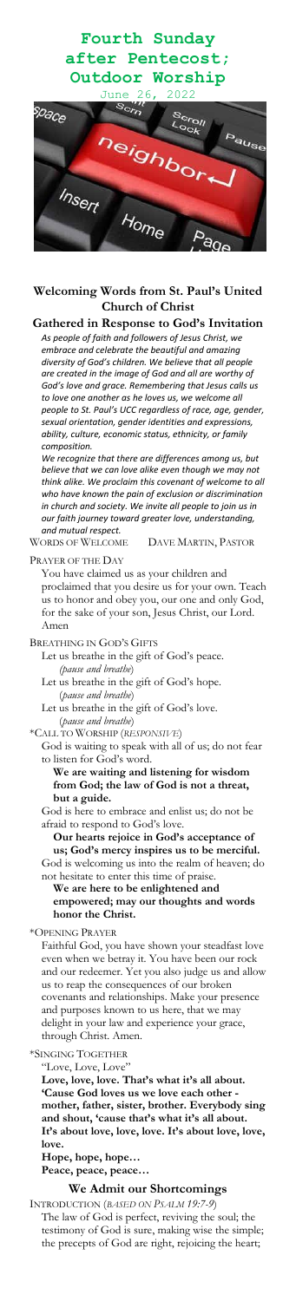# **Fourth Sunday after Pentecost; Outdoor Worship**



### **Welcoming Words from St. Paul's United Church of Christ**

### **Gathered in Response to God's Invitation**

*As people of faith and followers of Jesus Christ, we embrace and celebrate the beautiful and amazing diversity of God's children. We believe that all people are created in the image of God and all are worthy of God's love and grace. Remembering that Jesus calls us to love one another as he loves us, we welcome all people to St. Paul's UCC regardless of race, age, gender, sexual orientation, gender identities and expressions, ability, culture, economic status, ethnicity, or family composition.*

*We recognize that there are differences among us, but believe that we can love alike even though we may not think alike. We proclaim this covenant of welcome to all who have known the pain of exclusion or discrimination in church and society. We invite all people to join us in our faith journey toward greater love, understanding, and mutual respect.*

WORDS OF WELCOME DAVE MARTIN, PASTOR

#### PRAYER OF THE DAY

You have claimed us as your children and proclaimed that you desire us for your own. Teach us to honor and obey you, our one and only God, for the sake of your son, Jesus Christ, our Lord. Amen

#### BREATHING IN GOD'S GIFTS

Let us breathe in the gift of God's peace. *(pause and breathe*)

Let us breathe in the gift of God's hope. (*pause and breathe*)

Let us breathe in the gift of God's love. (*pause and breathe*)

\*CALL TO WORSHIP (*RESPONSIVE*)

God is waiting to speak with all of us; do not fear to listen for God's word.

**We are waiting and listening for wisdom from God; the law of God is not a threat, but a guide.**

God is here to embrace and enlist us; do not be afraid to respond to God's love.

**Our hearts rejoice in God's acceptance of us; God's mercy inspires us to be merciful.** God is welcoming us into the realm of heaven; do not hesitate to enter this time of praise.

#### **We are here to be enlightened and empowered; may our thoughts and words honor the Christ.**

#### \*OPENING PRAYER

Faithful God, you have shown your steadfast love even when we betray it. You have been our rock and our redeemer. Yet you also judge us and allow us to reap the consequences of our broken covenants and relationships. Make your presence and purposes known to us here, that we may delight in your law and experience your grace, through Christ. Amen.

\*SINGING TOGETHER

"Love, Love, Love"

**Love, love, love. That's what it's all about. 'Cause God loves us we love each other mother, father, sister, brother. Everybody sing and shout, 'cause that's what it's all about. It's about love, love, love. It's about love, love, love.**

**Hope, hope, hope…**

**Peace, peace, peace…**

## **We Admit our Shortcomings**

INTRODUCTION (*BASED ON PSALM 19:7-9*)

The law of God is perfect, reviving the soul; the testimony of God is sure, making wise the simple; the precepts of God are right, rejoicing the heart;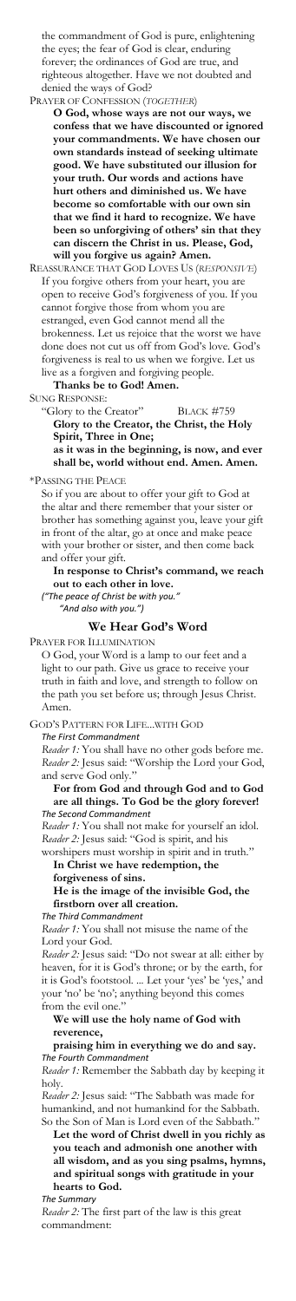the commandment of God is pure, enlightening the eyes; the fear of God is clear, enduring forever; the ordinances of God are true, and righteous altogether. Have we not doubted and denied the ways of God?

PRAYER OF CONFESSION (*TOGETHER*)

**O God, whose ways are not our ways, we confess that we have discounted or ignored your commandments. We have chosen our own standards instead of seeking ultimate good. We have substituted our illusion for your truth. Our words and actions have hurt others and diminished us. We have become so comfortable with our own sin that we find it hard to recognize. We have been so unforgiving of others' sin that they can discern the Christ in us. Please, God, will you forgive us again? Amen.**

REASSURANCE THAT GOD LOVES US (*RESPONSIVE*) If you forgive others from your heart, you are open to receive God's forgiveness of you. If you cannot forgive those from whom you are estranged, even God cannot mend all the brokenness. Let us rejoice that the worst we have done does not cut us off from God's love. God's forgiveness is real to us when we forgive. Let us live as a forgiven and forgiving people. **Thanks be to God! Amen.**

SUNG RESPONSE:

"Glory to the Creator" BLACK #759

**Glory to the Creator, the Christ, the Holy Spirit, Three in One;**

**as it was in the beginning, is now, and ever shall be, world without end. Amen. Amen.**

\*PASSING THE PEACE

So if you are about to offer your gift to God at the altar and there remember that your sister or brother has something against you, leave your gift in front of the altar, go at once and make peace with your brother or sister, and then come back and offer your gift.

**In response to Christ's command, we reach out to each other in love.** *("The peace of Christ be with you."*

*"And also with you.")*

#### **We Hear God's Word**

PRAYER FOR ILLUMINATION

O God, your Word is a lamp to our feet and a light to our path. Give us grace to receive your truth in faith and love, and strength to follow on the path you set before us; through Jesus Christ. Amen.

GOD'S PATTERN FOR LIFE...WITH GOD *The First Commandment*

*Reader 1:* You shall have no other gods before me. *Reader 2:* Jesus said: "Worship the Lord your God, and serve God only."

#### **For from God and through God and to God are all things. To God be the glory forever!** *The Second Commandment*

*Reader 1:* You shall not make for yourself an idol. *Reader 2:* Jesus said: "God is spirit, and his worshipers must worship in spirit and in truth."

#### **In Christ we have redemption, the forgiveness of sins.**

#### **He is the image of the invisible God, the firstborn over all creation.**

*The Third Commandment*

*Reader 1:* You shall not misuse the name of the Lord your God.

*Reader 2:* Jesus said: "Do not swear at all: either by heaven, for it is God's throne; or by the earth, for it is God's footstool. ... Let your 'yes' be 'yes,' and your 'no' be 'no'; anything beyond this comes from the evil one."

#### **We will use the holy name of God with reverence,**

**praising him in everything we do and say.** *The Fourth Commandment*

*Reader 1:* Remember the Sabbath day by keeping it holy.

*Reader 2:* Jesus said: "The Sabbath was made for humankind, and not humankind for the Sabbath. So the Son of Man is Lord even of the Sabbath."

**Let the word of Christ dwell in you richly as you teach and admonish one another with all wisdom, and as you sing psalms, hymns, and spiritual songs with gratitude in your hearts to God.**

*The Summary*

*Reader 2:* The first part of the law is this great commandment: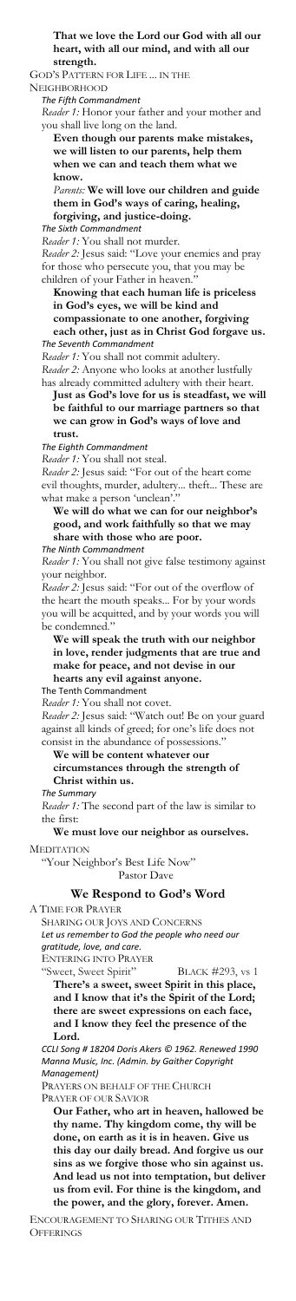**That we love the Lord our God with all our heart, with all our mind, and with all our strength.**

GOD'S PATTERN FOR LIFE ... IN THE

NEIGHBORHOOD

*The Fifth Commandment*

*Reader 1:* Honor your father and your mother and you shall live long on the land.

**Even though our parents make mistakes, we will listen to our parents, help them when we can and teach them what we know.**

*Parents:* **We will love our children and guide them in God's ways of caring, healing, forgiving, and justice-doing.**

*The Sixth Commandment*

*Reader 1:* You shall not murder.

*Reader 2:* Jesus said: "For out of the heart come evil thoughts, murder, adultery... theft... These are what make a person 'unclean'."

*Reader 2:* Jesus said: "Love your enemies and pray for those who persecute you, that you may be children of your Father in heaven."

**Knowing that each human life is priceless in God's eyes, we will be kind and compassionate to one another, forgiving each other, just as in Christ God forgave us.** *The Seventh Commandment*

*Reader 1:* You shall not commit adultery.

*Reader 2:* Anyone who looks at another lustfully

has already committed adultery with their heart.

**Just as God's love for us is steadfast, we will be faithful to our marriage partners so that we can grow in God's ways of love and trust.**

*The Eighth Commandment*

*Reader 1:* You shall not steal.

**We will do what we can for our neighbor's good, and work faithfully so that we may share with those who are poor.**

*The Ninth Commandment*

*Reader 1:* You shall not give false testimony against your neighbor.

ENCOURAGEMENT TO SHARING OUR TITHES AND **OFFERINGS** 

*Reader 2:* Jesus said: "For out of the overflow of the heart the mouth speaks... For by your words you will be acquitted, and by your words you will be condemned."

**We will speak the truth with our neighbor in love, render judgments that are true and make for peace, and not devise in our hearts any evil against anyone.**

The Tenth Commandment

*Reader 1:* You shall not covet.

*Reader 2:* Jesus said: "Watch out! Be on your guard against all kinds of greed; for one's life does not

consist in the abundance of possessions.

#### **We will be content whatever our circumstances through the strength of Christ within us.**

*The Summary*

*Reader 1:* The second part of the law is similar to the first:

#### **We must love our neighbor as ourselves.**

**MEDITATION** 

"Your Neighbor's Best Life Now" Pastor Dave

### **We Respond to God's Word**

A TIME FOR PRAYER

SHARING OUR JOYS AND CONCERNS *Let us remember to God the people who need our gratitude, love, and care.*

ENTERING INTO PRAYER

"Sweet, Sweet Spirit" BLACK #293, vs 1

**There's a sweet, sweet Spirit in this place, and I know that it's the Spirit of the Lord; there are sweet expressions on each face, and I know they feel the presence of the Lord.** 

*CCLI Song # 18204 Doris Akers © 1962. Renewed 1990 Manna Music, Inc. (Admin. by Gaither Copyright Management)*

PRAYERS ON BEHALF OF THE CHURCH PRAYER OF OUR SAVIOR

**Our Father, who art in heaven, hallowed be thy name. Thy kingdom come, thy will be done, on earth as it is in heaven. Give us this day our daily bread. And forgive us our sins as we forgive those who sin against us. And lead us not into temptation, but deliver us from evil. For thine is the kingdom, and the power, and the glory, forever. Amen.**